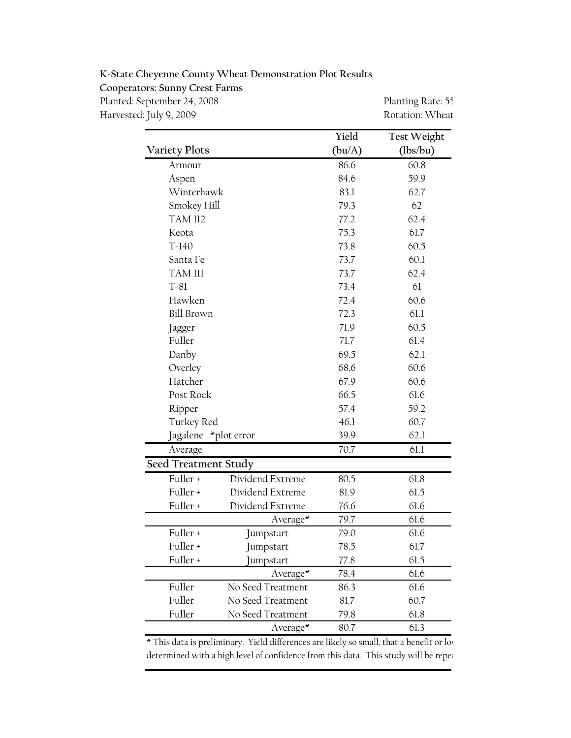K-State Cheyenne County Wheat Demonstration Plot Results

Cooperators: Sunny Crest Farms

Planted: September 24, 2008 Planting Rate: 55 Harvested: July 9, 2009 **Rotation: Wheat** 

|                      |                   | Yield  | <b>Test Weight</b> |
|----------------------|-------------------|--------|--------------------|
| <b>Variety Plots</b> |                   | (bu/A) | (lbs/bu)           |
| Armour               |                   | 86.6   | 60.8               |
| Aspen                |                   | 84.6   | 59.9               |
| Winterhawk           |                   | 83.1   | 62.7               |
|                      | Smokey Hill       |        | 62                 |
| <b>TAM 112</b>       |                   | 77.2   | 62.4               |
| Keota                |                   | 75.3   | 61.7               |
| $T-140$              |                   | 73.8   | 60.5               |
| Santa Fe             |                   | 73.7   | 60.1               |
| TAM III              |                   | 73.7   | 62.4               |
| $T-81$               |                   | 73.4   | 61                 |
| Hawken               |                   | 72.4   | 60.6               |
| <b>Bill Brown</b>    |                   | 72.3   | 61.1               |
| Jagger               |                   | 71.9   | 60.5               |
| Fuller               |                   | 71.7   | 61.4               |
| Danby                |                   | 69.5   | 62.1               |
| Overley              |                   |        | 60.6               |
| Hatcher              |                   | 67.9   | 60.6               |
| Post Rock            |                   | 66.5   | 61.6               |
| Ripper               |                   | 57.4   | 59.2               |
| Turkey Red           |                   | 46.1   | 60.7               |
| Jagalene *plot error |                   | 39.9   | 62.1               |
| Average              |                   | 70.7   | 61.1               |
| Seed Treatment Study |                   |        |                    |
| Fuller +             | Dividend Extreme  | 80.5   | 61.8               |
| Fuller +             | Dividend Extreme  | 81.9   | 61.5               |
| Fuller +             | Dividend Extreme  | 76.6   | 61.6               |
|                      | Average*          | 79.7   | 61.6               |
| Fuller +             | Jumpstart         | 79.0   | 61.6               |
| Fuller +             | Jumpstart         | 78.5   | 61.7               |
| Fuller +             | Jumpstart         | 77.8   | 61.5               |
|                      | Average*          | 78.4   | 61.6               |
| Fuller               | No Seed Treatment | 86.3   | 61.6               |
| Fuller               | No Seed Treatment | 81.7   | 60.7               |
| Fuller               | No Seed Treatment | 79.8   | 61.8               |
|                      | Average*          | 80.7   | 61.3               |

\* This data is preliminary. Yield differences are likely so small, that a benefit or los determined with a high level of confidence from this data. This study will be repeation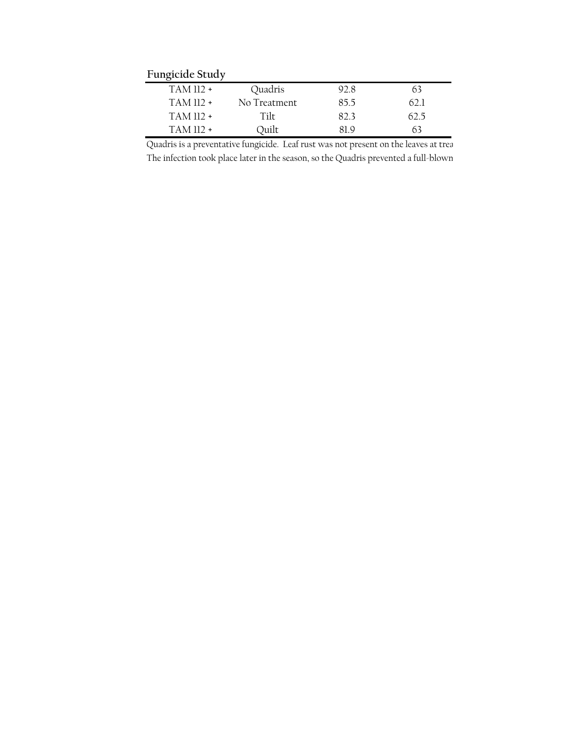Fungicide Study

| <u>unciente</u> ocuu y |              |      |      |  |
|------------------------|--------------|------|------|--|
| TAM 112 +              | Quadris      | 92 S | n s  |  |
| $TAM$ 112 +            | No Treatment | 85.5 | 62 I |  |
| $TAM$ 112 +            | Tilt         | 823  | 62.5 |  |
| $TAM$ 112 +            | Ouilt        | 81 O | 63   |  |

Quadris is a preventative fungicide. Leaf rust was not present on the leaves at trea The infection took place later in the season, so the Quadris prevented a full-blown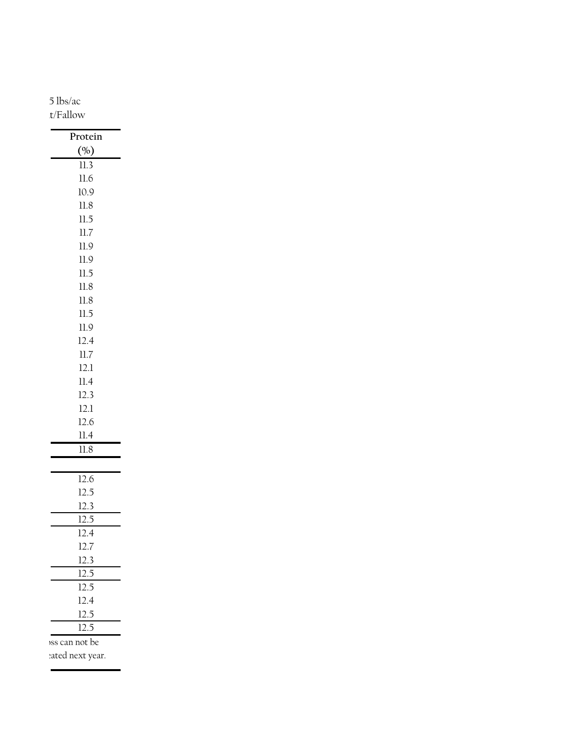5 lbs/ac t/Fallow

| Protein       |
|---------------|
| (%)           |
| $11.3\,$      |
| $11.6\,$      |
| $10.9\,$      |
| $11.8\,$      |
| $\rm ll.5$    |
| $11.7\,$      |
| $11.9\,$      |
| $11.9\,$      |
| $\rm ll.5$    |
| $11.8\,$      |
| $11.8\,$      |
| $\rm ll.5$    |
| $11.9\,$      |
| 12.4          |
| $11.7\,$      |
| $12.1\,$      |
| $11.4\,$      |
| $12.3$        |
| $12.1\,$      |
| $12.6\,$      |
| $11.4\,$      |
| $11.8\,$      |
|               |
| 12.6          |
| $12.5\,$      |
| $12.3$        |
| $12.5\,$      |
| $12.4\,$      |
| $12.7\,$      |
| 12.3          |
| $12.5\,$      |
| 12.5          |
| 12.4          |
| $12.5\,$      |
| 12.5          |
| ss can not be |
|               |

eated next year.